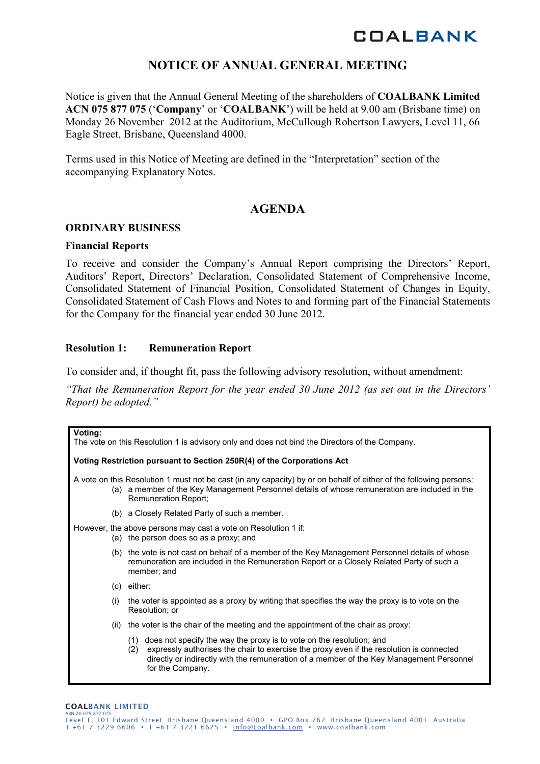# **NOTICE OF ANNUAL GENERAL MEETING**

Notice is given that the Annual General Meeting of the shareholders of **COALBANK Limited ACN 075 877 075** ('**Company**' or '**COALBANK**') will be held at 9.00 am (Brisbane time) on Monday 26 November 2012 at the Auditorium, McCullough Robertson Lawyers, Level 11, 66 Eagle Street, Brisbane, Queensland 4000.

Terms used in this Notice of Meeting are defined in the "Interpretation" section of the accompanying Explanatory Notes.

## **AGENDA**

#### **ORDINARY BUSINESS**

#### **Financial Reports**

To receive and consider the Company's Annual Report comprising the Directors' Report, Auditors' Report, Directors' Declaration, Consolidated Statement of Comprehensive Income, Consolidated Statement of Financial Position, Consolidated Statement of Changes in Equity, Consolidated Statement of Cash Flows and Notes to and forming part of the Financial Statements for the Company for the financial year ended 30 June 2012.

#### **Resolution 1: Remuneration Report**

To consider and, if thought fit, pass the following advisory resolution, without amendment:

*"That the Remuneration Report for the year ended 30 June 2012 (as set out in the Directors' Report) be adopted."* 

| Voting:<br>The vote on this Resolution 1 is advisory only and does not bind the Directors of the Company. |                                                                                                                                                                                                                                                                                                |  |  |  |  |
|-----------------------------------------------------------------------------------------------------------|------------------------------------------------------------------------------------------------------------------------------------------------------------------------------------------------------------------------------------------------------------------------------------------------|--|--|--|--|
|                                                                                                           | Voting Restriction pursuant to Section 250R(4) of the Corporations Act                                                                                                                                                                                                                         |  |  |  |  |
|                                                                                                           | A vote on this Resolution 1 must not be cast (in any capacity) by or on behalf of either of the following persons:<br>(a) a member of the Key Management Personnel details of whose remuneration are included in the<br>Remuneration Report;                                                   |  |  |  |  |
|                                                                                                           | (b) a Closely Related Party of such a member.                                                                                                                                                                                                                                                  |  |  |  |  |
|                                                                                                           | However, the above persons may cast a vote on Resolution 1 if:<br>(a) the person does so as a proxy; and                                                                                                                                                                                       |  |  |  |  |
|                                                                                                           | (b) the vote is not cast on behalf of a member of the Key Management Personnel details of whose<br>remuneration are included in the Remuneration Report or a Closely Related Party of such a<br>member; and                                                                                    |  |  |  |  |
|                                                                                                           | $(c)$ either:                                                                                                                                                                                                                                                                                  |  |  |  |  |
| (i)                                                                                                       | the voter is appointed as a proxy by writing that specifies the way the proxy is to vote on the<br>Resolution; or                                                                                                                                                                              |  |  |  |  |
| (ii)                                                                                                      | the voter is the chair of the meeting and the appointment of the chair as proxy:                                                                                                                                                                                                               |  |  |  |  |
|                                                                                                           | does not specify the way the proxy is to vote on the resolution; and<br>(1)<br>expressly authorises the chair to exercise the proxy even if the resolution is connected<br>(2)<br>directly or indirectly with the remuneration of a member of the Key Management Personnel<br>for the Company. |  |  |  |  |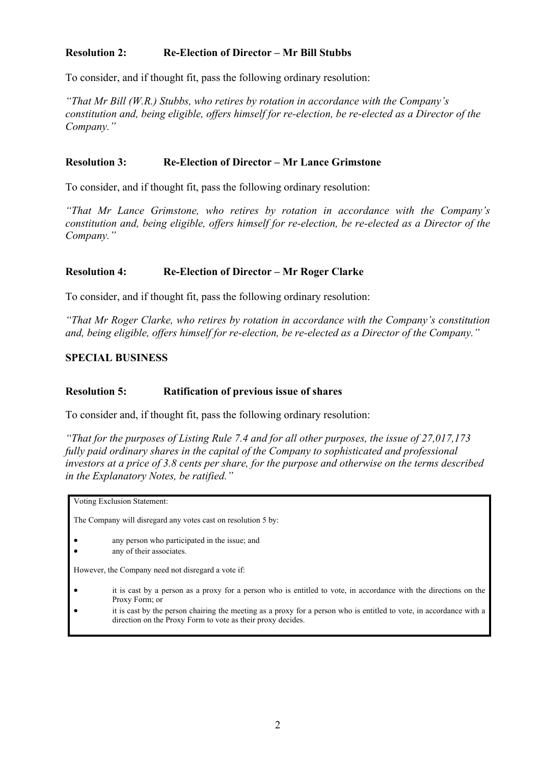#### **Resolution 2: Re-Election of Director – Mr Bill Stubbs**

To consider, and if thought fit, pass the following ordinary resolution:

*"That Mr Bill (W.R.) Stubbs, who retires by rotation in accordance with the Company's constitution and, being eligible, offers himself for re-election, be re-elected as a Director of the Company."*

#### **Resolution 3: Re-Election of Director – Mr Lance Grimstone**

To consider, and if thought fit, pass the following ordinary resolution:

*"That Mr Lance Grimstone, who retires by rotation in accordance with the Company's constitution and, being eligible, offers himself for re-election, be re-elected as a Director of the Company."* 

#### **Resolution 4: Re-Election of Director – Mr Roger Clarke**

To consider, and if thought fit, pass the following ordinary resolution:

*"That Mr Roger Clarke, who retires by rotation in accordance with the Company's constitution and, being eligible, offers himself for re-election, be re-elected as a Director of the Company."*

#### **SPECIAL BUSINESS**

#### **Resolution 5: Ratification of previous issue of shares**

To consider and, if thought fit, pass the following ordinary resolution:

*"That for the purposes of Listing Rule 7.4 and for all other purposes, the issue of 27,017,173 fully paid ordinary shares in the capital of the Company to sophisticated and professional investors at a price of 3.8 cents per share, for the purpose and otherwise on the terms described in the Explanatory Notes, be ratified."* 

Voting Exclusion Statement:

The Company will disregard any votes cast on resolution 5 by:

- any person who participated in the issue; and
- any of their associates.

However, the Company need not disregard a vote if:

- it is cast by a person as a proxy for a person who is entitled to vote, in accordance with the directions on the Proxy Form; or
- it is cast by the person chairing the meeting as a proxy for a person who is entitled to vote, in accordance with a direction on the Proxy Form to vote as their proxy decides.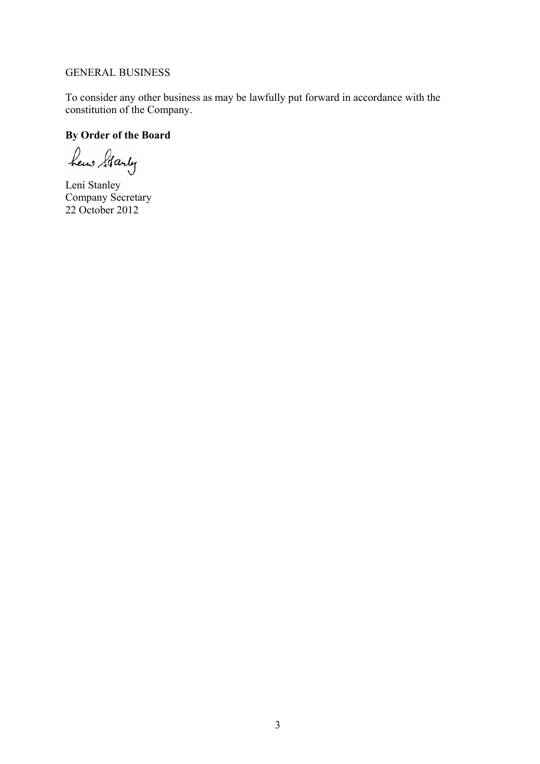#### GENERAL BUSINESS

To consider any other business as may be lawfully put forward in accordance with the constitution of the Company.

## **By Order of the Board**

hew Starty

Leni Stanley Company Secretary 22 October 2012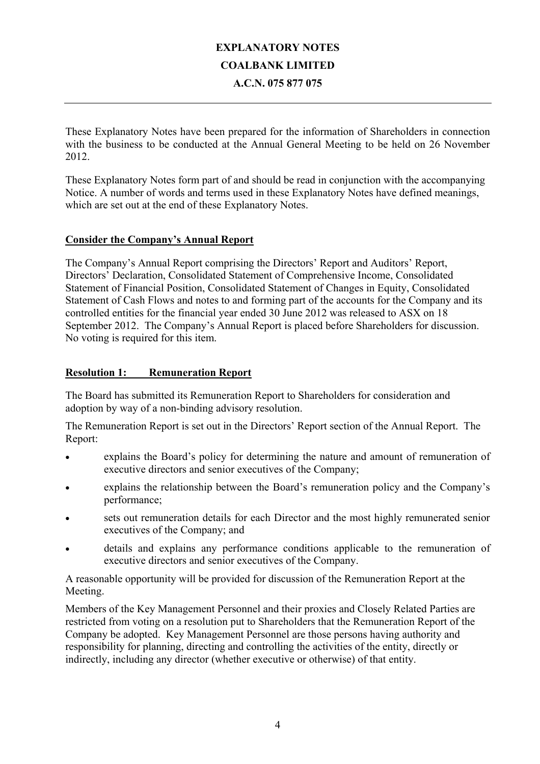# **EXPLANATORY NOTES COALBANK LIMITED A.C.N. 075 877 075**

These Explanatory Notes have been prepared for the information of Shareholders in connection with the business to be conducted at the Annual General Meeting to be held on 26 November 2012.

These Explanatory Notes form part of and should be read in conjunction with the accompanying Notice. A number of words and terms used in these Explanatory Notes have defined meanings, which are set out at the end of these Explanatory Notes.

#### **Consider the Company's Annual Report**

The Company's Annual Report comprising the Directors' Report and Auditors' Report, Directors' Declaration, Consolidated Statement of Comprehensive Income, Consolidated Statement of Financial Position, Consolidated Statement of Changes in Equity, Consolidated Statement of Cash Flows and notes to and forming part of the accounts for the Company and its controlled entities for the financial year ended 30 June 2012 was released to ASX on 18 September 2012. The Company's Annual Report is placed before Shareholders for discussion. No voting is required for this item.

#### **Resolution 1:** Remuneration Report

The Board has submitted its Remuneration Report to Shareholders for consideration and adoption by way of a non-binding advisory resolution.

The Remuneration Report is set out in the Directors' Report section of the Annual Report. The Report:

- explains the Board's policy for determining the nature and amount of remuneration of executive directors and senior executives of the Company;
- explains the relationship between the Board's remuneration policy and the Company's performance;
- sets out remuneration details for each Director and the most highly remunerated senior executives of the Company; and
- details and explains any performance conditions applicable to the remuneration of executive directors and senior executives of the Company.

A reasonable opportunity will be provided for discussion of the Remuneration Report at the Meeting.

Members of the Key Management Personnel and their proxies and Closely Related Parties are restricted from voting on a resolution put to Shareholders that the Remuneration Report of the Company be adopted. Key Management Personnel are those persons having authority and responsibility for planning, directing and controlling the activities of the entity, directly or indirectly, including any director (whether executive or otherwise) of that entity.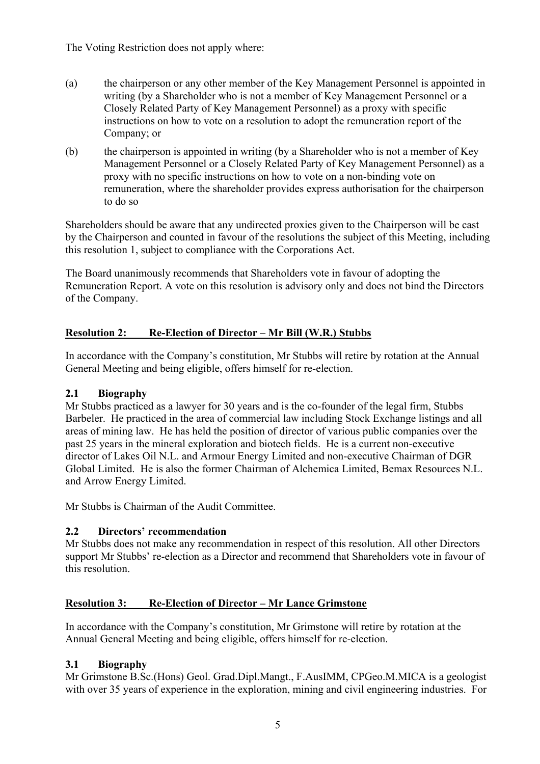The Voting Restriction does not apply where:

- (a) the chairperson or any other member of the Key Management Personnel is appointed in writing (by a Shareholder who is not a member of Key Management Personnel or a Closely Related Party of Key Management Personnel) as a proxy with specific instructions on how to vote on a resolution to adopt the remuneration report of the Company; or
- (b) the chairperson is appointed in writing (by a Shareholder who is not a member of Key Management Personnel or a Closely Related Party of Key Management Personnel) as a proxy with no specific instructions on how to vote on a non-binding vote on remuneration, where the shareholder provides express authorisation for the chairperson to do so

Shareholders should be aware that any undirected proxies given to the Chairperson will be cast by the Chairperson and counted in favour of the resolutions the subject of this Meeting, including this resolution 1, subject to compliance with the Corporations Act.

The Board unanimously recommends that Shareholders vote in favour of adopting the Remuneration Report. A vote on this resolution is advisory only and does not bind the Directors of the Company.

## **Resolution 2: Re-Election of Director – Mr Bill (W.R.) Stubbs**

In accordance with the Company's constitution, Mr Stubbs will retire by rotation at the Annual General Meeting and being eligible, offers himself for re-election.

## **2.1 Biography**

Mr Stubbs practiced as a lawyer for 30 years and is the co-founder of the legal firm, Stubbs Barbeler. He practiced in the area of commercial law including Stock Exchange listings and all areas of mining law. He has held the position of director of various public companies over the past 25 years in the mineral exploration and biotech fields. He is a current non-executive director of Lakes Oil N.L. and Armour Energy Limited and non-executive Chairman of DGR Global Limited. He is also the former Chairman of Alchemica Limited, Bemax Resources N.L. and Arrow Energy Limited.

Mr Stubbs is Chairman of the Audit Committee.

## **2.2 Directors' recommendation**

Mr Stubbs does not make any recommendation in respect of this resolution. All other Directors support Mr Stubbs' re-election as a Director and recommend that Shareholders vote in favour of this resolution.

## **Resolution 3: Re-Election of Director – Mr Lance Grimstone**

In accordance with the Company's constitution, Mr Grimstone will retire by rotation at the Annual General Meeting and being eligible, offers himself for re-election.

## **3.1 Biography**

Mr Grimstone B.Sc.(Hons) Geol. Grad.Dipl.Mangt., F.AusIMM, CPGeo.M.MICA is a geologist with over 35 years of experience in the exploration, mining and civil engineering industries. For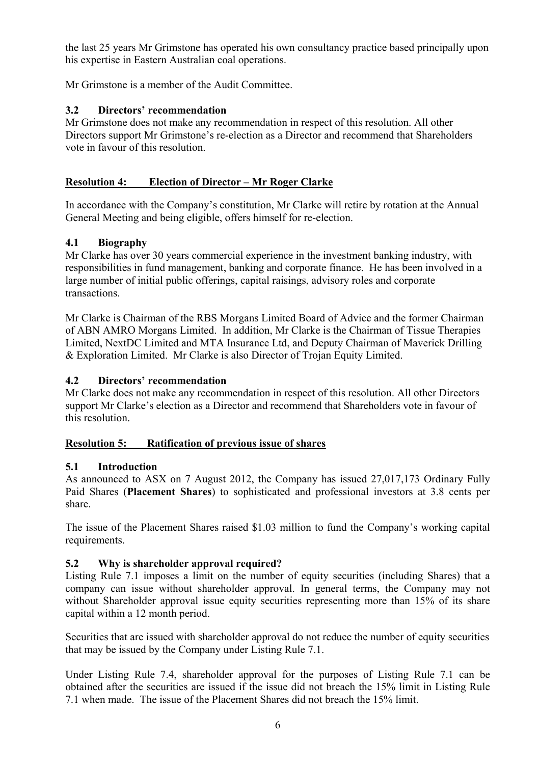the last 25 years Mr Grimstone has operated his own consultancy practice based principally upon his expertise in Eastern Australian coal operations.

Mr Grimstone is a member of the Audit Committee.

#### **3.2 Directors' recommendation**

Mr Grimstone does not make any recommendation in respect of this resolution. All other Directors support Mr Grimstone's re-election as a Director and recommend that Shareholders vote in favour of this resolution.

## **Resolution 4: Election of Director – Mr Roger Clarke**

In accordance with the Company's constitution, Mr Clarke will retire by rotation at the Annual General Meeting and being eligible, offers himself for re-election.

#### **4.1 Biography**

Mr Clarke has over 30 years commercial experience in the investment banking industry, with responsibilities in fund management, banking and corporate finance. He has been involved in a large number of initial public offerings, capital raisings, advisory roles and corporate transactions.

Mr Clarke is Chairman of the RBS Morgans Limited Board of Advice and the former Chairman of ABN AMRO Morgans Limited. In addition, Mr Clarke is the Chairman of Tissue Therapies Limited, NextDC Limited and MTA Insurance Ltd, and Deputy Chairman of Maverick Drilling & Exploration Limited. Mr Clarke is also Director of Trojan Equity Limited.

#### **4.2 Directors' recommendation**

Mr Clarke does not make any recommendation in respect of this resolution. All other Directors support Mr Clarke's election as a Director and recommend that Shareholders vote in favour of this resolution.

#### **Resolution 5: Ratification of previous issue of shares**

#### **5.1 Introduction**

As announced to ASX on 7 August 2012, the Company has issued 27,017,173 Ordinary Fully Paid Shares (**Placement Shares**) to sophisticated and professional investors at 3.8 cents per share.

The issue of the Placement Shares raised \$1.03 million to fund the Company's working capital requirements.

## **5.2 Why is shareholder approval required?**

Listing Rule 7.1 imposes a limit on the number of equity securities (including Shares) that a company can issue without shareholder approval. In general terms, the Company may not without Shareholder approval issue equity securities representing more than 15% of its share capital within a 12 month period.

Securities that are issued with shareholder approval do not reduce the number of equity securities that may be issued by the Company under Listing Rule 7.1.

Under Listing Rule 7.4, shareholder approval for the purposes of Listing Rule 7.1 can be obtained after the securities are issued if the issue did not breach the 15% limit in Listing Rule 7.1 when made. The issue of the Placement Shares did not breach the 15% limit.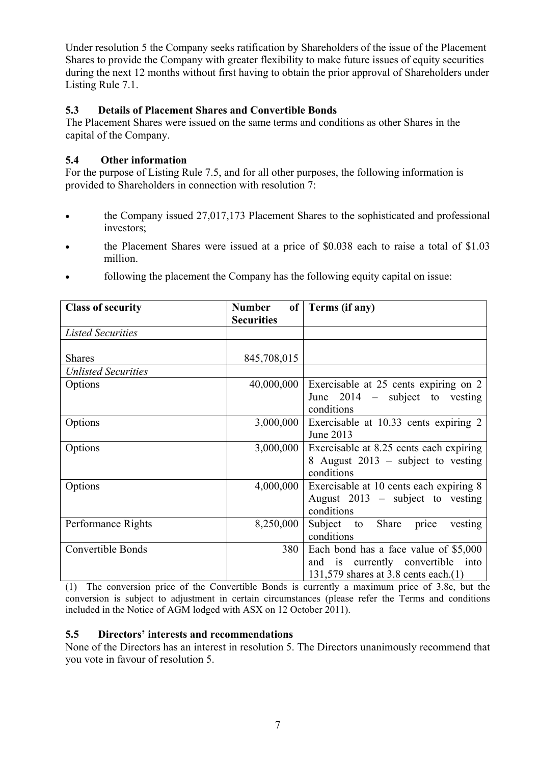Under resolution 5 the Company seeks ratification by Shareholders of the issue of the Placement Shares to provide the Company with greater flexibility to make future issues of equity securities during the next 12 months without first having to obtain the prior approval of Shareholders under Listing Rule 7.1.

#### **5.3 Details of Placement Shares and Convertible Bonds**

The Placement Shares were issued on the same terms and conditions as other Shares in the capital of the Company.

## **5.4 Other information**

For the purpose of Listing Rule 7.5, and for all other purposes, the following information is provided to Shareholders in connection with resolution 7:

- the Company issued 27,017,173 Placement Shares to the sophisticated and professional investors;
- the Placement Shares were issued at a price of \$0.038 each to raise a total of \$1.03 million.
- following the placement the Company has the following equity capital on issue:

| <b>Class of security</b>   | <b>Number</b><br><b>Securities</b> | of Terms (if any)                                                                                                  |
|----------------------------|------------------------------------|--------------------------------------------------------------------------------------------------------------------|
| <b>Listed Securities</b>   |                                    |                                                                                                                    |
| <b>Shares</b>              | 845,708,015                        |                                                                                                                    |
| <b>Unlisted Securities</b> |                                    |                                                                                                                    |
| Options                    | 40,000,000                         | Exercisable at 25 cents expiring on 2<br>June $2014$ – subject to vesting<br>conditions                            |
| Options                    | 3,000,000                          | Exercisable at 10.33 cents expiring 2<br>June 2013                                                                 |
| Options                    | 3,000,000                          | Exercisable at 8.25 cents each expiring<br>8 August 2013 – subject to vesting<br>conditions                        |
| Options                    | 4,000,000                          | Exercisable at 10 cents each expiring 8<br>August $2013$ – subject to vesting<br>conditions                        |
| Performance Rights         | 8,250,000                          | Subject to Share<br>vesting<br>price<br>conditions                                                                 |
| <b>Convertible Bonds</b>   | 380                                | Each bond has a face value of \$5,000<br>and is currently convertible into<br>131,579 shares at 3.8 cents each.(1) |

(1) The conversion price of the Convertible Bonds is currently a maximum price of 3.8c, but the conversion is subject to adjustment in certain circumstances (please refer the Terms and conditions included in the Notice of AGM lodged with ASX on 12 October 2011).

## **5.5 Directors' interests and recommendations**

None of the Directors has an interest in resolution 5. The Directors unanimously recommend that you vote in favour of resolution 5.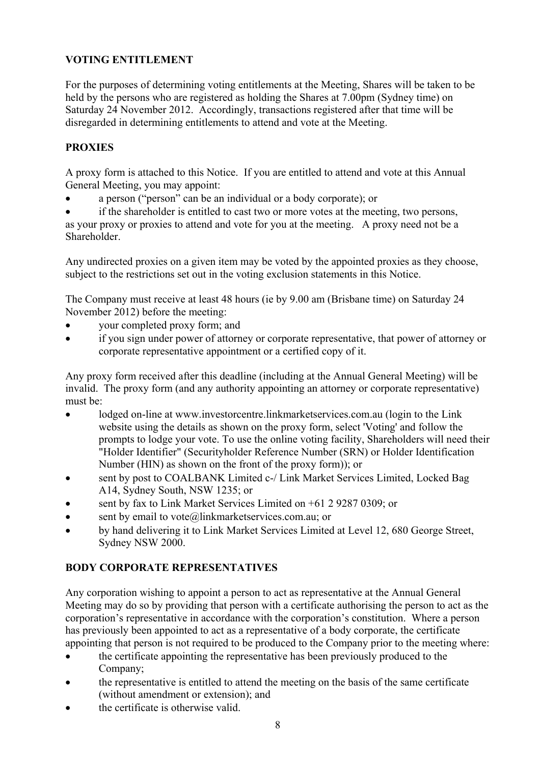# **VOTING ENTITLEMENT**

For the purposes of determining voting entitlements at the Meeting, Shares will be taken to be held by the persons who are registered as holding the Shares at 7.00pm (Sydney time) on Saturday 24 November 2012. Accordingly, transactions registered after that time will be disregarded in determining entitlements to attend and vote at the Meeting.

## **PROXIES**

A proxy form is attached to this Notice. If you are entitled to attend and vote at this Annual General Meeting, you may appoint:

• a person ("person" can be an individual or a body corporate); or

if the shareholder is entitled to cast two or more votes at the meeting, two persons, as your proxy or proxies to attend and vote for you at the meeting. A proxy need not be a Shareholder<sup>1</sup>

Any undirected proxies on a given item may be voted by the appointed proxies as they choose, subject to the restrictions set out in the voting exclusion statements in this Notice.

The Company must receive at least 48 hours (ie by 9.00 am (Brisbane time) on Saturday 24 November 2012) before the meeting:

- your completed proxy form; and
- if you sign under power of attorney or corporate representative, that power of attorney or corporate representative appointment or a certified copy of it.

Any proxy form received after this deadline (including at the Annual General Meeting) will be invalid. The proxy form (and any authority appointing an attorney or corporate representative) must be:

- lodged on-line at www.investorcentre.linkmarketservices.com.au (login to the Link website using the details as shown on the proxy form, select 'Voting' and follow the prompts to lodge your vote. To use the online voting facility, Shareholders will need their "Holder Identifier" (Securityholder Reference Number (SRN) or Holder Identification Number (HIN) as shown on the front of the proxy form)); or
- sent by post to COALBANK Limited c-/ Link Market Services Limited, Locked Bag A14, Sydney South, NSW 1235; or
- sent by fax to Link Market Services Limited on +61 2 9287 0309; or
- sent by email to vote@linkmarketservices.com.au; or
- by hand delivering it to Link Market Services Limited at Level 12, 680 George Street, Sydney NSW 2000.

## **BODY CORPORATE REPRESENTATIVES**

Any corporation wishing to appoint a person to act as representative at the Annual General Meeting may do so by providing that person with a certificate authorising the person to act as the corporation's representative in accordance with the corporation's constitution. Where a person has previously been appointed to act as a representative of a body corporate, the certificate appointing that person is not required to be produced to the Company prior to the meeting where:

- the certificate appointing the representative has been previously produced to the Company;
- the representative is entitled to attend the meeting on the basis of the same certificate (without amendment or extension); and
- the certificate is otherwise valid.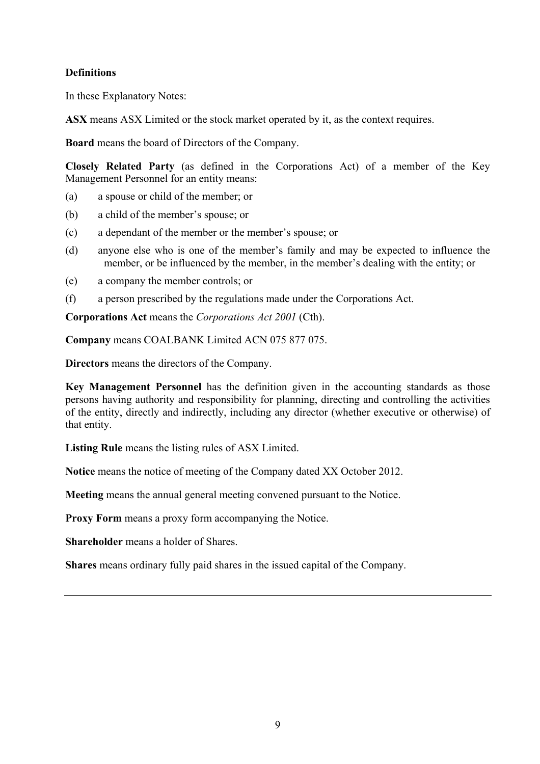#### **Definitions**

In these Explanatory Notes:

**ASX** means ASX Limited or the stock market operated by it, as the context requires.

**Board** means the board of Directors of the Company.

**Closely Related Party** (as defined in the Corporations Act) of a member of the Key Management Personnel for an entity means:

- (a) a spouse or child of the member; or
- (b) a child of the member's spouse; or
- (c) a dependant of the member or the member's spouse; or
- (d) anyone else who is one of the member's family and may be expected to influence the member, or be influenced by the member, in the member's dealing with the entity; or
- (e) a company the member controls; or
- (f) a person prescribed by the regulations made under the Corporations Act.

**Corporations Act** means the *Corporations Act 2001* (Cth).

**Company** means COALBANK Limited ACN 075 877 075.

**Directors** means the directors of the Company.

**Key Management Personnel** has the definition given in the accounting standards as those persons having authority and responsibility for planning, directing and controlling the activities of the entity, directly and indirectly, including any director (whether executive or otherwise) of that entity.

**Listing Rule** means the listing rules of ASX Limited.

**Notice** means the notice of meeting of the Company dated XX October 2012.

**Meeting** means the annual general meeting convened pursuant to the Notice.

**Proxy Form** means a proxy form accompanying the Notice.

**Shareholder** means a holder of Shares.

**Shares** means ordinary fully paid shares in the issued capital of the Company.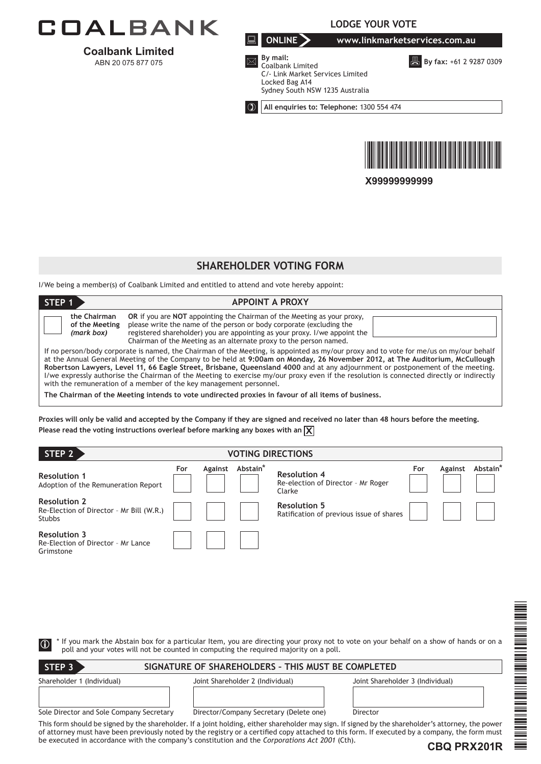

**Coalbank Limited**  ABN 20 075 877 075

**LODGE YOUR VOTE**

**ONLINE www.linkmarketservices.com.au**

**By fax: +61 2 9287 0309** 



 **By mail:** Coalbank Limited C/- Link Market Services Limited Locked Bag A14 Sydney South NSW 1235 Australia

**All enquiries to: Telephone:** 1300 554 474



**X99999999999**

#### **ShareHOLDER VOTING FORM**

I/We being a member(s) of Coalbank Limited and entitled to attend and vote hereby appoint:

| STEP <sub>1</sub>                                                                                                                                                                                                                                                                                                                                                                                                                                                                                                                                                                                                                                                                                                                | <b>APPOINT A PROXY</b>                                                                                                                                                                                                                                                                                            |  |  |  |
|----------------------------------------------------------------------------------------------------------------------------------------------------------------------------------------------------------------------------------------------------------------------------------------------------------------------------------------------------------------------------------------------------------------------------------------------------------------------------------------------------------------------------------------------------------------------------------------------------------------------------------------------------------------------------------------------------------------------------------|-------------------------------------------------------------------------------------------------------------------------------------------------------------------------------------------------------------------------------------------------------------------------------------------------------------------|--|--|--|
| the Chairman<br>of the Meeting<br>(mark box)                                                                                                                                                                                                                                                                                                                                                                                                                                                                                                                                                                                                                                                                                     | <b>OR</b> if you are <b>NOT</b> appointing the Chairman of the Meeting as your proxy,<br>please write the name of the person or body corporate (excluding the<br>registered shareholder) you are appointing as your proxy. I/we appoint the<br>Chairman of the Meeting as an alternate proxy to the person named. |  |  |  |
| If no person/body corporate is named, the Chairman of the Meeting, is appointed as my/our proxy and to vote for me/us on my/our behalf<br>at the Annual General Meeting of the Company to be held at 9:00am on Monday, 26 November 2012, at The Auditorium, McCullough<br>Robertson Lawyers, Level 11, 66 Eagle Street, Brisbane, Queensland 4000 and at any adjournment or postponement of the meeting.<br>I/we expressly authorise the Chairman of the Meeting to exercise my/our proxy even if the resolution is connected directly or indirectly<br>with the remuneration of a member of the key management personnel.<br>The Chairman of the Meeting intends to vote undirected proxies in favour of all items of business, |                                                                                                                                                                                                                                                                                                                   |  |  |  |

**Proxies will only be valid and accepted by the Company if they are signed and received no later than 48 hours before the meeting. Please read the voting instructions overleaf before marking any boxes with an**  $\chi$ 

| STEP <sub>2</sub><br><b>VOTING DIRECTIONS</b>                                    |     |         |          |                                                                     |     |         |                      |
|----------------------------------------------------------------------------------|-----|---------|----------|---------------------------------------------------------------------|-----|---------|----------------------|
| <b>Resolution 1</b><br>Adoption of the Remuneration Report                       | For | Against | Abstain* | <b>Resolution 4</b><br>Re-election of Director - Mr Roger<br>Clarke | For | Against | Abstain <sup>*</sup> |
| <b>Resolution 2</b><br>Re-Election of Director - Mr Bill (W.R.)<br><b>Stubbs</b> |     |         |          | <b>Resolution 5</b><br>Ratification of previous issue of shares     |     |         |                      |
| <b>Resolution 3</b><br>Re-Election of Director - Mr Lance<br>Grimstone           |     |         |          |                                                                     |     |         |                      |

|                                          |                                                                                                | <u>Manager</u>                                                                                                                                                                                                                                                                                       |
|------------------------------------------|------------------------------------------------------------------------------------------------|------------------------------------------------------------------------------------------------------------------------------------------------------------------------------------------------------------------------------------------------------------------------------------------------------|
|                                          |                                                                                                |                                                                                                                                                                                                                                                                                                      |
| $\vert \mathbb{O} \vert$                 | poll and your votes will not be counted in computing the required majority on a poll.          | If you mark the Abstain box for a particular Item, you are directing your proxy not to vote on your behalf on a show of hands or on a                                                                                                                                                                |
|                                          |                                                                                                |                                                                                                                                                                                                                                                                                                      |
| STEP 3                                   | SIGNATURE OF SHAREHOLDERS - THIS MUST BE COMPLETED                                             |                                                                                                                                                                                                                                                                                                      |
| Shareholder 1 (Individual)               | Joint Shareholder 2 (Individual)                                                               | Joint Shareholder 3 (Individual)                                                                                                                                                                                                                                                                     |
|                                          |                                                                                                |                                                                                                                                                                                                                                                                                                      |
| Sole Director and Sole Company Secretary | Director/Company Secretary (Delete one)                                                        | NUMBER 1991<br>Director                                                                                                                                                                                                                                                                              |
|                                          |                                                                                                |                                                                                                                                                                                                                                                                                                      |
|                                          |                                                                                                | This form should be signed by the shareholder. If a joint holding, either shareholder may sign. If signed by the shareholder's attorney, the power<br>of attorney must have been previously noted by the registry or a certified copy attached to this form. If executed by a company, the form must |
|                                          | be executed in accordance with the company's constitution and the Corporations Act 2001 (Cth). | ≣<br>CBO PRX201R                                                                                                                                                                                                                                                                                     |